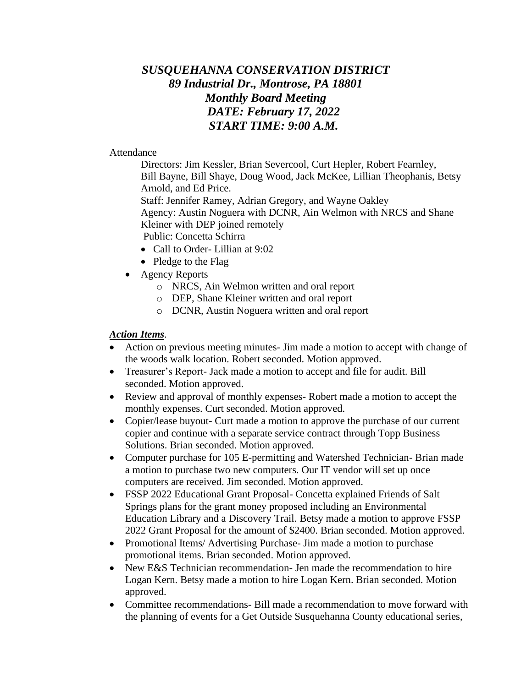# *SUSQUEHANNA CONSERVATION DISTRICT 89 Industrial Dr., Montrose, PA 18801 Monthly Board Meeting DATE: February 17, 2022 START TIME: 9:00 A.M.*

#### Attendance

Directors: Jim Kessler, Brian Severcool, Curt Hepler, Robert Fearnley, Bill Bayne, Bill Shaye, Doug Wood, Jack McKee, Lillian Theophanis, Betsy Arnold, and Ed Price. Staff: Jennifer Ramey, Adrian Gregory, and Wayne Oakley

Agency: Austin Noguera with DCNR, Ain Welmon with NRCS and Shane Kleiner with DEP joined remotely

Public: Concetta Schirra

- Call to Order- Lillian at 9:02
- Pledge to the Flag
- Agency Reports
	- o NRCS, Ain Welmon written and oral report
	- o DEP, Shane Kleiner written and oral report
	- o DCNR, Austin Noguera written and oral report

#### *Action Items*.

- Action on previous meeting minutes- Jim made a motion to accept with change of the woods walk location. Robert seconded. Motion approved.
- Treasurer's Report- Jack made a motion to accept and file for audit. Bill seconded. Motion approved.
- Review and approval of monthly expenses-Robert made a motion to accept the monthly expenses. Curt seconded. Motion approved.
- Copier/lease buyout- Curt made a motion to approve the purchase of our current copier and continue with a separate service contract through Topp Business Solutions. Brian seconded. Motion approved.
- Computer purchase for 105 E-permitting and Watershed Technician- Brian made a motion to purchase two new computers. Our IT vendor will set up once computers are received. Jim seconded. Motion approved.
- FSSP 2022 Educational Grant Proposal- Concetta explained Friends of Salt Springs plans for the grant money proposed including an Environmental Education Library and a Discovery Trail. Betsy made a motion to approve FSSP 2022 Grant Proposal for the amount of \$2400. Brian seconded. Motion approved.
- Promotional Items/ Advertising Purchase- Jim made a motion to purchase promotional items. Brian seconded. Motion approved.
- New E&S Technician recommendation- Jen made the recommendation to hire Logan Kern. Betsy made a motion to hire Logan Kern. Brian seconded. Motion approved.
- Committee recommendations Bill made a recommendation to move forward with the planning of events for a Get Outside Susquehanna County educational series,